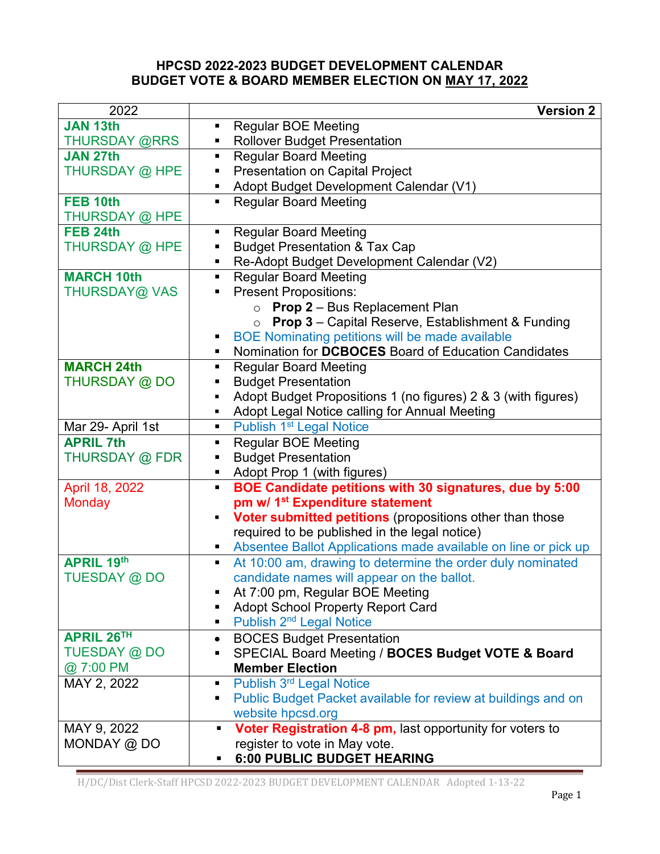## **HPCSD 2022-2023 BUDGET DEVELOPMENT CALENDAR BUDGET VOTE & BOARD MEMBER ELECTION ON MAY 17, 2022**

| 2022                 | <b>Version 2</b>                                                             |
|----------------------|------------------------------------------------------------------------------|
| JAN 13th             | <b>Regular BOE Meeting</b>                                                   |
| <b>THURSDAY @RRS</b> | <b>Rollover Budget Presentation</b>                                          |
| <b>JAN 27th</b>      | <b>Regular Board Meeting</b><br>π.                                           |
| THURSDAY @ HPE       | <b>Presentation on Capital Project</b><br>п                                  |
|                      | Adopt Budget Development Calendar (V1)                                       |
| FEB 10th             | <b>Regular Board Meeting</b><br>п.                                           |
| THURSDAY @ HPE       |                                                                              |
| FEB <sub>24th</sub>  | <b>Regular Board Meeting</b><br>п                                            |
| THURSDAY @ HPE       | <b>Budget Presentation &amp; Tax Cap</b>                                     |
|                      | Re-Adopt Budget Development Calendar (V2)                                    |
| <b>MARCH 10th</b>    | <b>Regular Board Meeting</b>                                                 |
| THURSDAY@ VAS        | <b>Present Propositions:</b>                                                 |
|                      | <b>Prop 2</b> – Bus Replacement Plan<br>$\circ$                              |
|                      | $\circ$ Prop 3 – Capital Reserve, Establishment & Funding                    |
|                      | <b>BOE Nominating petitions will be made available</b>                       |
|                      | Nomination for DCBOCES Board of Education Candidates                         |
| <b>MARCH 24th</b>    | <b>Regular Board Meeting</b><br>ш                                            |
| THURSDAY @ DO        | <b>Budget Presentation</b>                                                   |
|                      | Adopt Budget Propositions 1 (no figures) 2 & 3 (with figures)                |
|                      | Adopt Legal Notice calling for Annual Meeting                                |
| Mar 29- April 1st    | Publish 1 <sup>st</sup> Legal Notice<br>$\blacksquare$                       |
| <b>APRIL 7th</b>     | <b>Regular BOE Meeting</b>                                                   |
| THURSDAY @ FDR       | <b>Budget Presentation</b><br>п                                              |
|                      | Adopt Prop 1 (with figures)                                                  |
| April 18, 2022       | BOE Candidate petitions with 30 signatures, due by 5:00<br>$\blacksquare$    |
| <b>Monday</b>        | pm w/ 1 <sup>st</sup> Expenditure statement                                  |
|                      | Voter submitted petitions (propositions other than those<br>٠                |
|                      | required to be published in the legal notice)                                |
|                      | Absentee Ballot Applications made available on line or pick up               |
| <b>APRIL 19th</b>    | At 10:00 am, drawing to determine the order duly nominated<br>$\blacksquare$ |
| TUESDAY @ DO         | candidate names will appear on the ballot.                                   |
|                      | At 7:00 pm, Regular BOE Meeting                                              |
|                      | <b>Adopt School Property Report Card</b>                                     |
|                      | Publish 2 <sup>nd</sup> Legal Notice                                         |
| <b>APRIL 26TH</b>    | <b>BOCES Budget Presentation</b><br>$\bullet$                                |
| TUESDAY @ DO         | SPECIAL Board Meeting / BOCES Budget VOTE & Board<br>п                       |
| @ 7:00 PM            | <b>Member Election</b>                                                       |
| MAY 2, 2022          | Publish 3rd Legal Notice                                                     |
|                      | Public Budget Packet available for review at buildings and on<br>ш           |
|                      | website hpcsd.org                                                            |
| MAY 9, 2022          | Voter Registration 4-8 pm, last opportunity for voters to                    |
| MONDAY $@$ DO        | register to vote in May vote.                                                |
|                      | 6:00 PUBLIC BUDGET HEARING                                                   |

H/DC/Dist Clerk-Staff HPCSD 2022-2023 BUDGET DEVELOPMENT CALENDAR Adopted 1-13-22